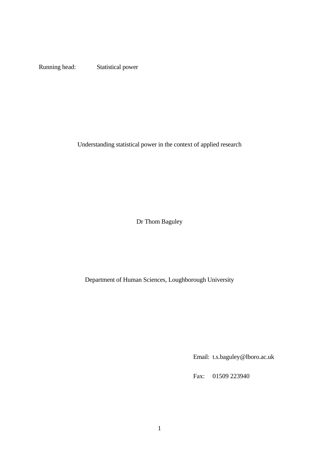Running head: Statistical power

Understanding statistical power in the context of applied research

Dr Thom Baguley

Department of Human Sciences, Loughborough University

Email: t.s.baguley@lboro.ac.uk

Fax: 01509 223940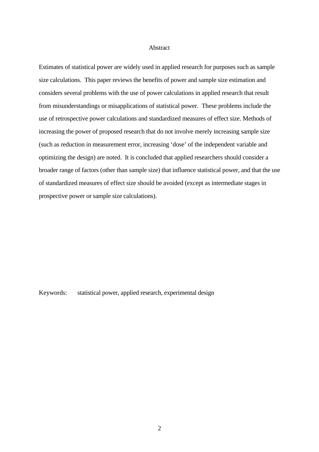#### Abstract

Estimates of statistical power are widely used in applied research for purposes such as sample size calculations. This paper reviews the benefits of power and sample size estimation and considers several problems with the use of power calculations in applied research that result from misunderstandings or misapplications of statistical power. These problems include the use of retrospective power calculations and standardized measures of effect size. Methods of increasing the power of proposed research that do not involve merely increasing sample size (such as reduction in measurement error, increasing 'dose' of the independent variable and optimizing the design) are noted. It is concluded that applied researchers should consider a broader range of factors (other than sample size) that influence statistical power, and that the use of standardized measures of effect size should be avoided (except as intermediate stages in prospective power or sample size calculations).

Keywords: statistical power, applied research, experimental design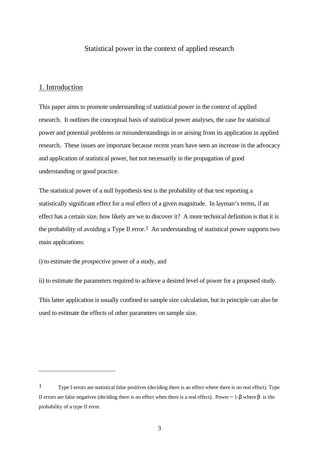## Statistical power in the context of applied research

## 1. Introduction

This paper aims to promote understanding of statistical power in the context of applied research. It outlines the conceptual basis of statistical power analyses, the case for statistical power and potential problems or misunderstandings in or arising from its application in applied research. These issues are important because recent years have seen an increase in the advocacy and application of statistical power, but not necessarily in the propagation of good understanding or good practice.

The statistical power of a null hypothesis test is the probability of that test reporting a statistically significant effect for a real effect of a given magnitude. In layman's terms, if an effect has a certain size, how likely are we to discover it? A more technical definition is that it is the probability of avoiding a Type II error.<sup>1</sup> An understanding of statistical power supports two main applications:

i) to estimate the *prospective* power of a study, and

ii) to estimate the parameters required to achieve a desired level of power for a proposed study.

This latter application is usually confined to sample size calculation, but in principle can also be used to estimate the effects of other parameters on sample size.

<sup>1</sup> Type I errors are statistical false positives (deciding there is an effect where there is no real effect). Type II errors are false negatives (deciding there is no effect when there is a real effect). Power  $= 1$ - where is the probability of a type II error.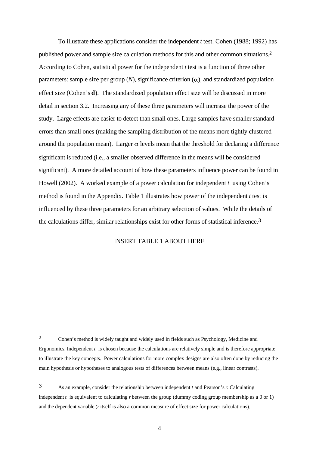To illustrate these applications consider the independent *t* test. Cohen (1988; 1992) has published power and sample size calculation methods for this and other common situations.2 According to Cohen, statistical power for the independent *t* test is a function of three other parameters: sample size per group  $(N)$ , significance criterion  $(\alpha)$ , and standardized population effect size (Cohen's **d**). The standardized population effect size will be discussed in more detail in section 3.2. Increasing any of these three parameters will increase the power of the study. Large effects are easier to detect than small ones. Large samples have smaller standard errors than small ones (making the sampling distribution of the means more tightly clustered around the population mean). Larger  $\alpha$  levels mean that the threshold for declaring a difference significant is reduced (i.e., a smaller observed difference in the means will be considered significant). A more detailed account of how these parameters influence power can be found in Howell (2002). A worked example of a power calculation for independent *t* using Cohen's method is found in the Appendix. Table 1 illustrates how power of the independent *t* test is influenced by these three parameters for an arbitrary selection of values. While the details of the calculations differ, similar relationships exist for other forms of statistical inference.3

INSERT TABLE 1 ABOUT HERE

<sup>2</sup> Cohen's method is widely taught and widely used in fields such as Psychology, Medicine and Ergonomics. Independent  $t$  is chosen because the calculations are relatively simple and is therefore appropriate to illustrate the key concepts. Power calculations for more complex designs are also often done by reducing the main hypothesis or hypotheses to analogous tests of differences between means (e.g., linear contrasts).

<sup>3</sup> As an example, consider the relationship between independent *t* and Pearson's *r*. Calculating independent *t* is equivalent to calculating *r* between the group (dummy coding group membership as a 0 or 1) and the dependent variable (*r* itself is also a common measure of effect size for power calculations).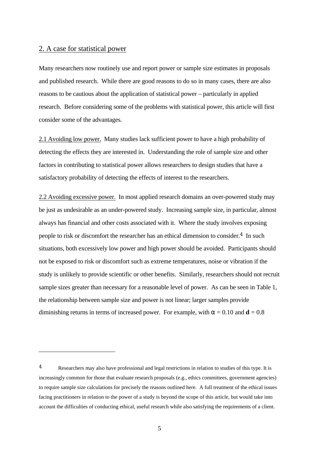### 2. A case for statistical power

Many researchers now routinely use and report power or sample size estimates in proposals and published research. While there are good reasons to do so in many cases, there are also reasons to be cautious about the application of statistical power – particularly in applied research. Before considering some of the problems with statistical power, this article will first consider some of the advantages.

2.1 Avoiding low power. Many studies lack sufficient power to have a high probability of detecting the effects they are interested in. Understanding the role of sample size and other factors in contributing to statistical power allows researchers to design studies that have a satisfactory probability of detecting the effects of interest to the researchers.

2.2 Avoiding excessive power. In most applied research domains an over-powered study may be just as undesirable as an under-powered study. Increasing sample size, in particular, almost always has financial and other costs associated with it. Where the study involves exposing people to risk or discomfort the researcher has an ethical dimension to consider.4 In such situations, both excessively low power and high power should be avoided. Participants should not be exposed to risk or discomfort such as extreme temperatures, noise or vibration if the study is unlikely to provide scientific or other benefits. Similarly, researchers should not recruit sample sizes greater than necessary for a reasonable level of power. As can be seen in Table 1, the relationship between sample size and power is not linear; larger samples provide diminishing returns in terms of increased power. For example, with  $= 0.10$  and  $\mathbf{d} = 0.8$ 

<sup>4</sup> Researchers may also have professional and legal restrictions in relation to studies of this type. It is increasingly common for those that evaluate research proposals (e.g., ethics committees, government agencies) to require sample size calculations for precisely the reasons outlined here. A full treatment of the ethical issues facing practitioners in relation to the power of a study is beyond the scope of this article, but would take into account the difficulties of conducting ethical, useful research while also satisfying the requirements of a client.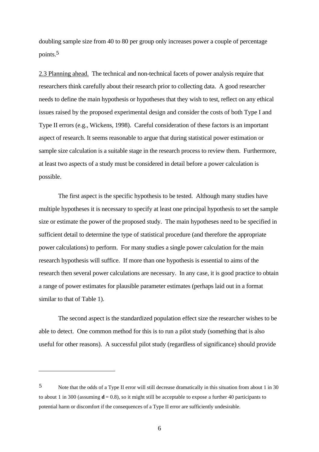doubling sample size from 40 to 80 per group only increases power a couple of percentage points.5

2.3 Planning ahead. The technical and non-technical facets of power analysis require that researchers think carefully about their research prior to collecting data. A good researcher needs to define the main hypothesis or hypotheses that they wish to test, reflect on any ethical issues raised by the proposed experimental design and consider the costs of both Type I and Type II errors (e.g., Wickens, 1998). Careful consideration of these factors is an important aspect of research. It seems reasonable to argue that during statistical power estimation or sample size calculation is a suitable stage in the research process to review them. Furthermore, at least two aspects of a study must be considered in detail before a power calculation is possible.

The first aspect is the specific hypothesis to be tested. Although many studies have multiple hypotheses it is necessary to specify at least one principal hypothesis to set the sample size or estimate the power of the proposed study. The main hypotheses need to be specified in sufficient detail to determine the type of statistical procedure (and therefore the appropriate power calculations) to perform. For many studies a single power calculation for the main research hypothesis will suffice. If more than one hypothesis is essential to aims of the research then several power calculations are necessary. In any case, it is good practice to obtain a range of power estimates for plausible parameter estimates (perhaps laid out in a format similar to that of Table 1).

The second aspect is the standardized population effect size the researcher wishes to be able to detect. One common method for this is to run a pilot study (something that is also useful for other reasons). A successful pilot study (regardless of significance) should provide

<sup>5</sup> Note that the odds of a Type II error will still decrease dramatically in this situation from about 1 in 30 to about 1 in 300 (assuming  $\mathbf{d} = 0.8$ ), so it might still be acceptable to expose a further 40 participants to potential harm or discomfort if the consequences of a Type II error are sufficiently undesirable.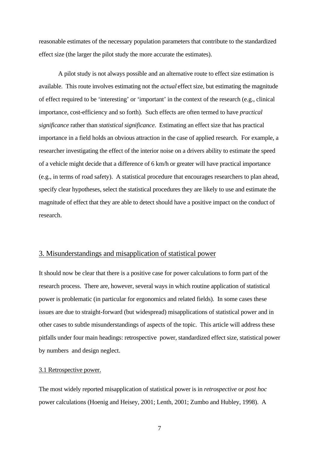reasonable estimates of the necessary population parameters that contribute to the standardized effect size (the larger the pilot study the more accurate the estimates).

A pilot study is not always possible and an alternative route to effect size estimation is available. This route involves estimating not the *actual* effect size, but estimating the magnitude of effect required to be 'interesting' or 'important' in the context of the research (e.g., clinical importance, cost-efficiency and so forth). Such effects are often termed to have *practical significance* rather than *statistical significance*. Estimating an effect size that has practical importance in a field holds an obvious attraction in the case of applied research. For example, a researcher investigating the effect of the interior noise on a drivers ability to estimate the speed of a vehicle might decide that a difference of 6 km/h or greater will have practical importance (e.g., in terms of road safety). A statistical procedure that encourages researchers to plan ahead, specify clear hypotheses, select the statistical procedures they are likely to use and estimate the magnitude of effect that they are able to detect should have a positive impact on the conduct of research.

## 3. Misunderstandings and misapplication of statistical power

It should now be clear that there is a positive case for power calculations to form part of the research process. There are, however, several ways in which routine application of statistical power is problematic (in particular for ergonomics and related fields). In some cases these issues are due to straight-forward (but widespread) misapplications of statistical power and in other cases to subtle misunderstandings of aspects of the topic. This article will address these pitfalls under four main headings: retrospective power, standardized effect size, statistical power by numbers and design neglect.

## 3.1 Retrospective power.

The most widely reported misapplication of statistical power is in *retrospective* or *post hoc* power calculations (Hoenig and Heisey, 2001; Lenth, 2001; Zumbo and Hubley, 1998). A

7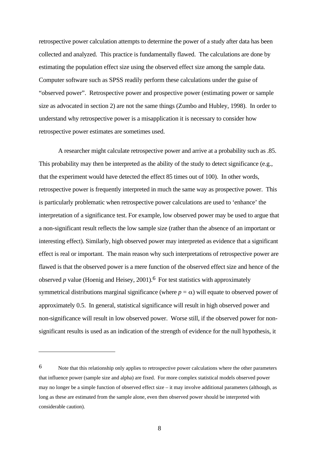retrospective power calculation attempts to determine the power of a study after data has been collected and analyzed. This practice is fundamentally flawed. The calculations are done by estimating the population effect size using the observed effect size among the sample data. Computer software such as SPSS readily perform these calculations under the guise of "observed power". Retrospective power and prospective power (estimating power or sample size as advocated in section 2) are not the same things (Zumbo and Hubley, 1998). In order to understand why retrospective power is a misapplication it is necessary to consider how retrospective power estimates are sometimes used.

A researcher might calculate retrospective power and arrive at a probability such as .85. This probability may then be interpreted as the ability of the study to detect significance (e.g., that the experiment would have detected the effect 85 times out of 100). In other words, retrospective power is frequently interpreted in much the same way as prospective power. This is particularly problematic when retrospective power calculations are used to 'enhance' the interpretation of a significance test. For example, low observed power may be used to argue that a non-significant result reflects the low sample size (rather than the absence of an important or interesting effect). Similarly, high observed power may interpreted as evidence that a significant effect is real or important. The main reason why such interpretations of retrospective power are flawed is that the observed power is a mere function of the observed effect size and hence of the observed *p* value (Hoenig and Heisey, 2001).6 For test statistics with approximately symmetrical distributions marginal significance (where  $p = \alpha$ ) will equate to observed power of approximately 0.5. In general, statistical significance will result in high observed power and non-significance will result in low observed power. Worse still, if the observed power for nonsignificant results is used as an indication of the strength of evidence for the null hypothesis, it

<sup>6</sup> Note that this relationship only applies to retrospective power calculations where the other parameters that influence power (sample size and alpha) are fixed. For more complex statistical models observed power may no longer be a simple function of observed effect size – it may involve additional parameters (although, as long as these are estimated from the sample alone, even then observed power should be interpreted with considerable caution).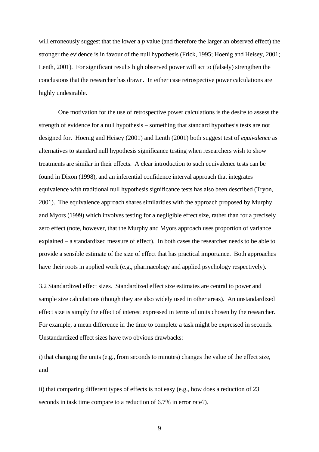will erroneously suggest that the lower a *p* value (and therefore the larger an observed effect) the stronger the evidence is in favour of the null hypothesis (Frick, 1995; Hoenig and Heisey, 2001; Lenth, 2001). For significant results high observed power will act to (falsely) strengthen the conclusions that the researcher has drawn. In either case retrospective power calculations are highly undesirable.

One motivation for the use of retrospective power calculations is the desire to assess the strength of evidence for a null hypothesis – something that standard hypothesis tests are not designed for. Hoenig and Heisey (2001) and Lenth (2001) both suggest test of *equivalence* as alternatives to standard null hypothesis significance testing when researchers wish to show treatments are similar in their effects. A clear introduction to such equivalence tests can be found in Dixon (1998), and an inferential confidence interval approach that integrates equivalence with traditional null hypothesis significance tests has also been described (Tryon, 2001). The equivalence approach shares similarities with the approach proposed by Murphy and Myors (1999) which involves testing for a negligible effect size, rather than for a precisely zero effect (note, however, that the Murphy and Myors approach uses proportion of variance explained – a standardized measure of effect). In both cases the researcher needs to be able to provide a sensible estimate of the size of effect that has practical importance. Both approaches have their roots in applied work (e.g., pharmacology and applied psychology respectively).

3.2 Standardized effect sizes. Standardized effect size estimates are central to power and sample size calculations (though they are also widely used in other areas). An unstandardized effect size is simply the effect of interest expressed in terms of units chosen by the researcher. For example, a mean difference in the time to complete a task might be expressed in seconds. Unstandardized effect sizes have two obvious drawbacks:

i) that changing the units (e.g., from seconds to minutes) changes the value of the effect size, and

ii) that comparing different types of effects is not easy (e.g., how does a reduction of 23 seconds in task time compare to a reduction of 6.7% in error rate?).

9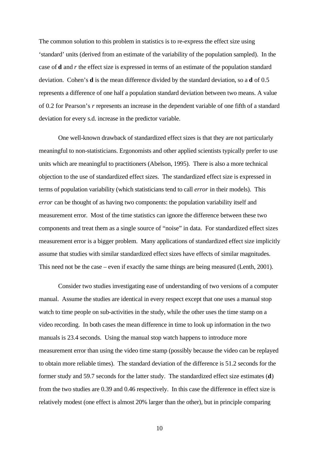The common solution to this problem in statistics is to re-express the effect size using 'standard' units (derived from an estimate of the variability of the population sampled). In the case of **d** and *r* the effect size is expressed in terms of an estimate of the population standard deviation. Cohen's **d** is the mean difference divided by the standard deviation, so a **d** of 0.5 represents a difference of one half a population standard deviation between two means. A value of 0.2 for Pearson's *r* represents an increase in the dependent variable of one fifth of a standard deviation for every s.d. increase in the predictor variable.

One well-known drawback of standardized effect sizes is that they are not particularly meaningful to non-statisticians. Ergonomists and other applied scientists typically prefer to use units which are meaningful to practitioners (Abelson, 1995). There is also a more technical objection to the use of standardized effect sizes. The standardized effect size is expressed in terms of population variability (which statisticians tend to call *error* in their models). This *error* can be thought of as having two components: the population variability itself and measurement error. Most of the time statistics can ignore the difference between these two components and treat them as a single source of "noise" in data. For standardized effect sizes measurement error is a bigger problem. Many applications of standardized effect size implicitly assume that studies with similar standardized effect sizes have effects of similar magnitudes. This need not be the case – even if exactly the same things are being measured (Lenth, 2001).

Consider two studies investigating ease of understanding of two versions of a computer manual. Assume the studies are identical in every respect except that one uses a manual stop watch to time people on sub-activities in the study, while the other uses the time stamp on a video recording. In both cases the mean difference in time to look up information in the two manuals is 23.4 seconds. Using the manual stop watch happens to introduce more measurement error than using the video time stamp (possibly because the video can be replayed to obtain more reliable times). The standard deviation of the difference is 51.2 seconds for the former study and 59.7 seconds for the latter study. The standardized effect size estimates (**d**) from the two studies are 0.39 and 0.46 respectively. In this case the difference in effect size is relatively modest (one effect is almost 20% larger than the other), but in principle comparing

10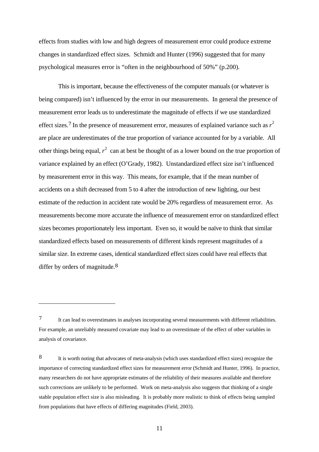effects from studies with low and high degrees of measurement error could produce extreme changes in standardized effect sizes. Schmidt and Hunter (1996) suggested that for many psychological measures error is "often in the neighbourhood of 50%" (p.200).

This is important, because the effectiveness of the computer manuals (or whatever is being compared) isn't influenced by the error in our measurements. In general the presence of measurement error leads us to underestimate the magnitude of effects if we use standardized effect sizes.<sup>7</sup> In the presence of measurement error, measures of explained variance such as  $r^2$ are place are underestimates of the true proportion of variance accounted for by a variable. All other things being equal,  $r^2$  can at best be thought of as a lower bound on the true proportion of variance explained by an effect (O'Grady, 1982). Unstandardized effect size isn't influenced by measurement error in this way. This means, for example, that if the mean number of accidents on a shift decreased from 5 to 4 after the introduction of new lighting, our best estimate of the reduction in accident rate would be 20% regardless of measurement error. As measurements become more accurate the influence of measurement error on standardized effect sizes becomes proportionately less important. Even so, it would be naïve to think that similar standardized effects based on measurements of different kinds represent magnitudes of a similar size. In extreme cases, identical standardized effect sizes could have real effects that differ by orders of magnitude.<sup>8</sup>

<sup>7</sup> It can lead to overestimates in analyses incorporating several measurements with different reliabilities. For example, an unreliably measured covariate may lead to an overestimate of the effect of other variables in analysis of covariance.

<sup>8</sup> It is worth noting that advocates of meta-analysis (which uses standardized effect sizes) recognize the importance of correcting standardized effect sizes for measurement error (Schmidt and Hunter, 1996). In practice, many researchers do not have appropriate estimates of the reliability of their measures available and therefore such corrections are unlikely to be performed. Work on meta-analysis also suggests that thinking of a single stable population effect size is also misleading. It is probably more realistic to think of effects being sampled from populations that have effects of differing magnitudes (Field, 2003).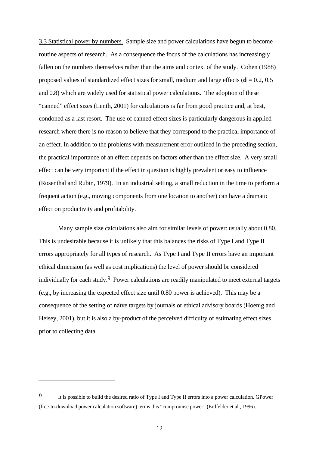3.3 Statistical power by numbers. Sample size and power calculations have begun to become routine aspects of research. As a consequence the focus of the calculations has increasingly fallen on the numbers themselves rather than the aims and context of the study. Cohen (1988) proposed values of standardized effect sizes for small, medium and large effects (**d** = 0.2, 0.5 and 0.8) which are widely used for statistical power calculations. The adoption of these "canned" effect sizes (Lenth, 2001) for calculations is far from good practice and, at best, condoned as a last resort. The use of canned effect sizes is particularly dangerous in applied research where there is no reason to believe that they correspond to the practical importance of an effect. In addition to the problems with measurement error outlined in the preceding section, the practical importance of an effect depends on factors other than the effect size. A very small effect can be very important if the effect in question is highly prevalent or easy to influence (Rosenthal and Rubin, 1979). In an industrial setting, a small reduction in the time to perform a frequent action (e.g., moving components from one location to another) can have a dramatic effect on productivity and profitability.

Many sample size calculations also aim for similar levels of power: usually about 0.80. This is undesirable because it is unlikely that this balances the risks of Type I and Type II errors appropriately for all types of research. As Type I and Type II errors have an important ethical dimension (as well as cost implications) the level of power should be considered individually for each study.9 Power calculations are readily manipulated to meet external targets (e.g., by increasing the expected effect size until 0.80 power is achieved). This may be a consequence of the setting of naïve targets by journals or ethical advisory boards (Hoenig and Heisey, 2001), but it is also a by-product of the perceived difficulty of estimating effect sizes prior to collecting data.

<sup>9</sup> It is possible to build the desired ratio of Type I and Type II errors into a power calculation. GPower (free-to-download power calculation software) terms this "compromise power" (Erdfelder et al., 1996).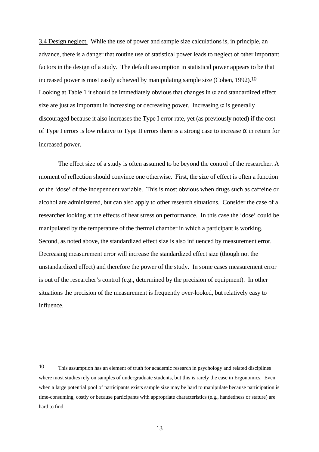3.4 Design neglect. While the use of power and sample size calculations is, in principle, an advance, there is a danger that routine use of statistical power leads to neglect of other important factors in the design of a study. The default assumption in statistical power appears to be that increased power is most easily achieved by manipulating sample size (Cohen, 1992).10 Looking at Table 1 it should be immediately obvious that changes in and standardized effect size are just as important in increasing or decreasing power. Increasing is generally discouraged because it also increases the Type I error rate, yet (as previously noted) if the cost of Type I errors is low relative to Type II errors there is a strong case to increase in return for increased power.

The effect size of a study is often assumed to be beyond the control of the researcher. A moment of reflection should convince one otherwise. First, the size of effect is often a function of the 'dose' of the independent variable. This is most obvious when drugs such as caffeine or alcohol are administered, but can also apply to other research situations. Consider the case of a researcher looking at the effects of heat stress on performance. In this case the 'dose' could be manipulated by the temperature of the thermal chamber in which a participant is working. Second, as noted above, the standardized effect size is also influenced by measurement error. Decreasing measurement error will increase the standardized effect size (though not the unstandardized effect) and therefore the power of the study. In some cases measurement error is out of the researcher's control (e.g., determined by the precision of equipment). In other situations the precision of the measurement is frequently over-looked, but relatively easy to influence.

<sup>10</sup> This assumption has an element of truth for academic research in psychology and related disciplines where most studies rely on samples of undergraduate students, but this is rarely the case in Ergonomics. Even when a large potential pool of participants exists sample size may be hard to manipulate because participation is time-consuming, costly or because participants with appropriate characteristics (e.g., handedness or stature) are hard to find.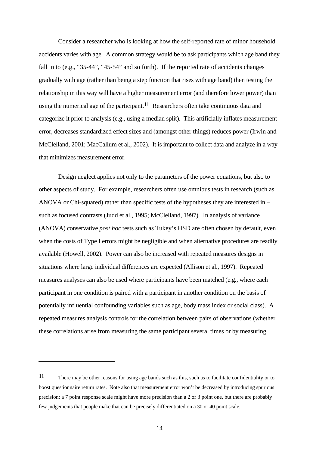Consider a researcher who is looking at how the self-reported rate of minor household accidents varies with age. A common strategy would be to ask participants which age band they fall in to (e.g., "35-44", "45-54" and so forth). If the reported rate of accidents changes gradually with age (rather than being a step function that rises with age band) then testing the relationship in this way will have a higher measurement error (and therefore lower power) than using the numerical age of the participant.<sup>11</sup> Researchers often take continuous data and categorize it prior to analysis (e.g., using a median split). This artificially inflates measurement error, decreases standardized effect sizes and (amongst other things) reduces power (Irwin and McClelland, 2001; MacCallum et al., 2002). It is important to collect data and analyze in a way that minimizes measurement error.

Design neglect applies not only to the parameters of the power equations, but also to other aspects of study. For example, researchers often use omnibus tests in research (such as ANOVA or Chi-squared) rather than specific tests of the hypotheses they are interested in – such as focused contrasts (Judd et al., 1995; McClelland, 1997). In analysis of variance (ANOVA) conservative *post hoc* tests such as Tukey's HSD are often chosen by default, even when the costs of Type I errors might be negligible and when alternative procedures are readily available (Howell, 2002). Power can also be increased with repeated measures designs in situations where large individual differences are expected (Allison et al., 1997). Repeated measures analyses can also be used where participants have been matched (e.g., where each participant in one condition is paired with a participant in another condition on the basis of potentially influential confounding variables such as age, body mass index or social class). A repeated measures analysis controls for the correlation between pairs of observations (whether these correlations arise from measuring the same participant several times or by measuring

<sup>11</sup> There may be other reasons for using age bands such as this, such as to facilitate confidentiality or to boost questionnaire return rates. Note also that measurement error won't be decreased by introducing spurious precision: a 7 point response scale might have more precision than a 2 or 3 point one, but there are probably few judgements that people make that can be precisely differentiated on a 30 or 40 point scale.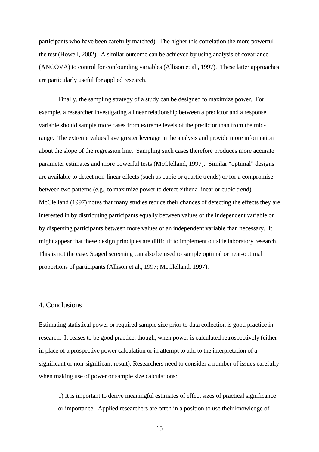participants who have been carefully matched). The higher this correlation the more powerful the test (Howell, 2002). A similar outcome can be achieved by using analysis of covariance (ANCOVA) to control for confounding variables (Allison et al., 1997). These latter approaches are particularly useful for applied research.

Finally, the sampling strategy of a study can be designed to maximize power. For example, a researcher investigating a linear relationship between a predictor and a response variable should sample more cases from extreme levels of the predictor than from the midrange. The extreme values have greater leverage in the analysis and provide more information about the slope of the regression line. Sampling such cases therefore produces more accurate parameter estimates and more powerful tests (McClelland, 1997). Similar "optimal" designs are available to detect non-linear effects (such as cubic or quartic trends) or for a compromise between two patterns (e.g., to maximize power to detect either a linear or cubic trend). McClelland (1997) notes that many studies reduce their chances of detecting the effects they are interested in by distributing participants equally between values of the independent variable or by dispersing participants between more values of an independent variable than necessary. It might appear that these design principles are difficult to implement outside laboratory research. This is not the case. Staged screening can also be used to sample optimal or near-optimal proportions of participants (Allison et al., 1997; McClelland, 1997).

## 4. Conclusions

Estimating statistical power or required sample size prior to data collection is good practice in research. It ceases to be good practice, though, when power is calculated retrospectively (either in place of a prospective power calculation or in attempt to add to the interpretation of a significant or non-significant result). Researchers need to consider a number of issues carefully when making use of power or sample size calculations:

1) It is important to derive meaningful estimates of effect sizes of practical significance or importance. Applied researchers are often in a position to use their knowledge of

15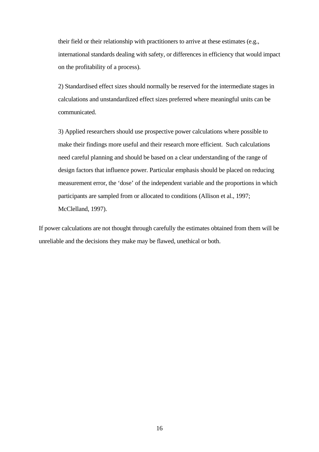their field or their relationship with practitioners to arrive at these estimates (e.g., international standards dealing with safety, or differences in efficiency that would impact on the profitability of a process).

2) Standardised effect sizes should normally be reserved for the intermediate stages in calculations and unstandardized effect sizes preferred where meaningful units can be communicated.

3) Applied researchers should use prospective power calculations where possible to make their findings more useful and their research more efficient. Such calculations need careful planning and should be based on a clear understanding of the range of design factors that influence power. Particular emphasis should be placed on reducing measurement error, the 'dose' of the independent variable and the proportions in which participants are sampled from or allocated to conditions (Allison et al., 1997; McClelland, 1997).

If power calculations are not thought through carefully the estimates obtained from them will be unreliable and the decisions they make may be flawed, unethical or both.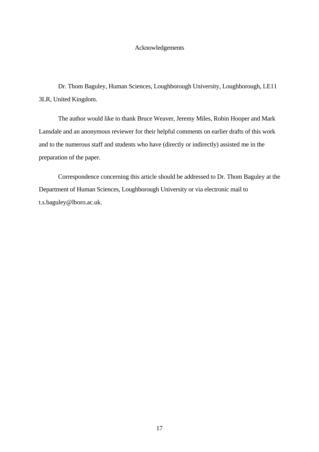## Acknowledgements

Dr. Thom Baguley, Human Sciences, Loughborough University, Loughborough, LE11 3LR, United Kingdom.

The author would like to thank Bruce Weaver, Jeremy Miles, Robin Hooper and Mark Lansdale and an anonymous reviewer for their helpful comments on earlier drafts of this work and to the numerous staff and students who have (directly or indirectly) assisted me in the preparation of the paper.

Correspondence concerning this article should be addressed to Dr. Thom Baguley at the Department of Human Sciences, Loughborough University or via electronic mail to t.s.baguley@lboro.ac.uk.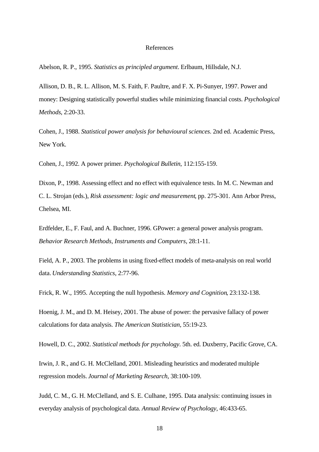#### References

Abelson, R. P., 1995. *Statistics as principled argument*. Erlbaum, Hillsdale, N.J.

Allison, D. B., R. L. Allison, M. S. Faith, F. Paultre, and F. X. Pi-Sunyer, 1997. Power and money: Designing statistically powerful studies while minimizing financial costs. *Psychological Methods*, 2:20-33.

Cohen, J., 1988. *Statistical power analysis for behavioural sciences*. 2nd ed. Academic Press, New York.

Cohen, J., 1992. A power primer. *Psychological Bulletin*, 112:155-159.

Dixon, P., 1998. Assessing effect and no effect with equivalence tests. In M. C. Newman and C. L. Strojan (eds.), *Risk assessment: logic and measurement*, pp. 275-301. Ann Arbor Press, Chelsea, MI.

Erdfelder, E., F. Faul, and A. Buchner, 1996. GPower: a general power analysis program. *Behavior Research Methods, Instruments and Computers*, 28:1-11.

Field, A. P., 2003. The problems in using fixed-effect models of meta-analysis on real world data. *Understanding Statistics*, 2:77-96.

Frick, R. W., 1995. Accepting the null hypothesis. *Memory and Cognition*, 23:132-138.

Hoenig, J. M., and D. M. Heisey, 2001. The abuse of power: the pervasive fallacy of power calculations for data analysis. *The American Statistician*, 55:19-23.

Howell, D. C., 2002. *Statistical methods for psychology*. 5th. ed. Duxberry, Pacific Grove, CA.

Irwin, J. R., and G. H. McClelland, 2001. Misleading heuristics and moderated multiple regression models. *Journal of Marketing Research*, 38:100-109.

Judd, C. M., G. H. McClelland, and S. E. Culhane, 1995. Data analysis: continuing issues in everyday analysis of psychological data. *Annual Review of Psychology*, 46:433-65.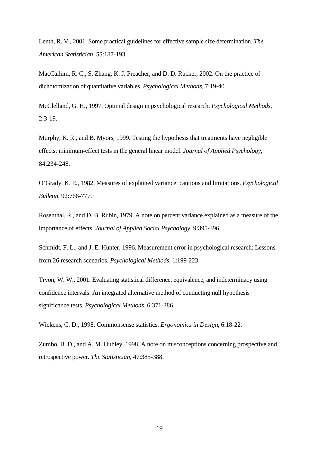Lenth, R. V., 2001. Some practical guidelines for effective sample size determination. *The American Statistician*, 55:187-193.

MacCallum, R. C., S. Zhang, K. J. Preacher, and D. D. Rucker, 2002. On the practice of dichotomization of quantitative variables. *Psychological Methods*, 7:19-40.

McClelland, G. H., 1997. Optimal design in psychological research. *Psychological Methods*,  $2:3-19$ .

Murphy, K. R., and B. Myors, 1999. Testing the hypothesis that treatments have negligible effects: minimum-effect tests in the general linear model. *Journal of Applied Psychology*, 84:234-248.

O'Grady, K. E., 1982. Measures of explained variance: cautions and limitations. *Psychological Bulletin*, 92:766-777.

Rosenthal, R., and D. B. Rubin, 1979. A note on percent variance explained as a measure of the importance of effects. *Journal of Applied Social Psychology*, 9:395-396.

Schmidt, F. L., and J. E. Hunter, 1996. Measurement error in psychological research: Lessons from 26 research scenarios. *Psychological Methods*, 1:199-223.

Tryon, W. W., 2001. Evaluating statistical difference, equivalence, and indeterminacy using confidence intervals: An integrated alternative method of conducting null hypothesis significance tests. *Psychological Methods*, 6:371-386.

Wickens, C. D., 1998. Commonsense statistics. *Ergonomics in Design*, 6:18-22.

Zumbo, B. D., and A. M. Hubley, 1998. A note on misconceptions concerning prospective and retrospective power. *The Statistician*, 47:385-388.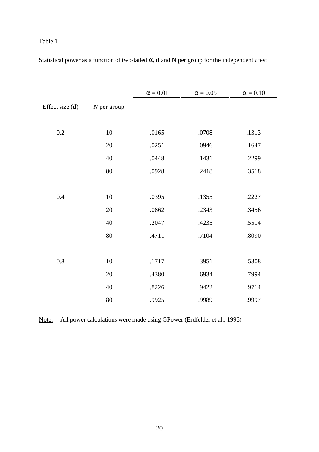# Table 1

Statistical power as a function of two-tailed , **d** and N per group for the independent *t* test

|                   |               | $= 0.01$ | $= 0.05$ | $= 0.10$ |
|-------------------|---------------|----------|----------|----------|
| Effect size $(d)$ | $N$ per group |          |          |          |
|                   |               |          |          |          |
| $0.2\,$           | 10            | .0165    | .0708    | .1313    |
|                   | 20            | .0251    | .0946    | .1647    |
|                   | 40            | .0448    | .1431    | .2299    |
|                   | 80            | .0928    | .2418    | .3518    |
|                   |               |          |          |          |
| 0.4               | 10            | .0395    | .1355    | .2227    |
|                   | 20            | .0862    | .2343    | .3456    |
|                   | $40\,$        | .2047    | .4235    | .5514    |
|                   | 80            | .4711    | .7104    | .8090    |
|                   |               |          |          |          |
| $0.8\,$           | 10            | .1717    | .3951    | .5308    |
|                   | 20            | .4380    | .6934    | .7994    |
|                   | 40            | .8226    | .9422    | .9714    |
|                   | 80            | .9925    | .9989    | .9997    |

Note. All power calculations were made using GPower (Erdfelder et al., 1996)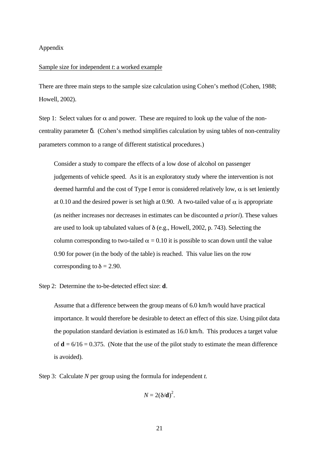### Appendix

#### Sample size for independent *t*: a worked example

There are three main steps to the sample size calculation using Cohen's method (Cohen, 1988; Howell, 2002).

Step 1: Select values for  $\alpha$  and power. These are required to look up the value of the noncentrality parameter . (Cohen's method simplifies calculation by using tables of non-centrality parameters common to a range of different statistical procedures.)

Consider a study to compare the effects of a low dose of alcohol on passenger judgements of vehicle speed. As it is an exploratory study where the intervention is not deemed harmful and the cost of Type I error is considered relatively low,  $\alpha$  is set leniently at 0.10 and the desired power is set high at 0.90. A two-tailed value of  $\alpha$  is appropriate (as neither increases nor decreases in estimates can be discounted *a priori*). These values are used to look up tabulated values of  $\delta$  (e.g., Howell, 2002, p. 743). Selecting the column corresponding to two-tailed  $\alpha = 0.10$  it is possible to scan down until the value 0.90 for power (in the body of the table) is reached. This value lies on the row corresponding to  $\delta = 2.90$ .

Step 2: Determine the to-be-detected effect size: **d**.

Assume that a difference between the group means of 6.0 km/h would have practical importance. It would therefore be desirable to detect an effect of this size. Using pilot data the population standard deviation is estimated as 16.0 km/h. This produces a target value of  $\mathbf{d} = 6/16 = 0.375$ . (Note that the use of the pilot study to estimate the mean difference is avoided).

Step 3: Calculate *N* per group using the formula for independent *t*.

$$
N=2(\delta/\mathbf{d})^2.
$$